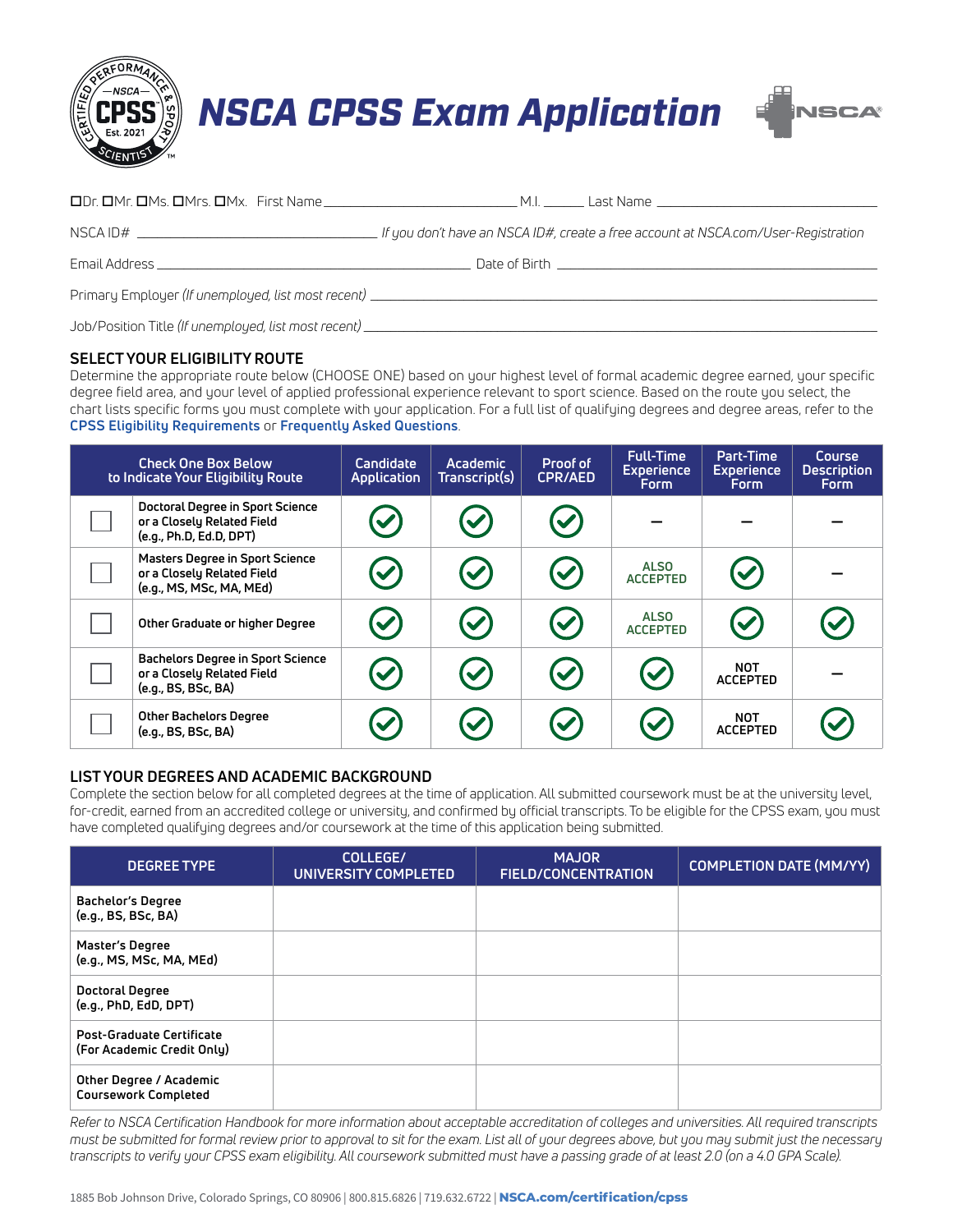

# *NSCA CPSS Exam Application*



| . If you don't have an NSCA ID#, create a free account at NSCA.com/User-Registration |
|--------------------------------------------------------------------------------------|
|                                                                                      |
|                                                                                      |

Job/Position Title (If unemployed, list most recent)

### **SELECT YOUR ELIGIBILITY ROUTE**

Determine the appropriate route below (CHOOSE ONE) based on your highest level of formal academic degree earned, your specific degree field area, and your level of applied professional experience relevant to sport science. Based on the route you select, the chart lists specific forms you must complete with your application. For a full list of qualifying degrees and degree areas, refer to the **[CPSS Eligibility Requirements](https://www.nsca.com/certification/cpss/cpss-eligibility-requirements/)** or **[Frequently Asked Questions](https://www.nsca.com/certification/cpss/essentials-of-sport-science/)**.

| <b>Check One Box Below</b><br>to Indicate Your Eligibility Route                                 | Candidate<br>Application | <b>Academic</b><br>Transcript(s) | Proof of<br><b>CPR/AED</b>              | <b>Full-Time</b><br><b>Experience</b><br><b>Form</b> | Part-Time<br><b>Experience</b><br><b>Form</b> | Course<br><b>Description</b><br><b>Form</b> |
|--------------------------------------------------------------------------------------------------|--------------------------|----------------------------------|-----------------------------------------|------------------------------------------------------|-----------------------------------------------|---------------------------------------------|
| Doctoral Degree in Sport Science<br>or a Closely Related Field<br>(e.g., Ph.D, Ed.D, DPT)        |                          | $\blacktriangledown$             | $\blacktriangledown$                    |                                                      |                                               |                                             |
| <b>Masters Degree in Sport Science</b><br>or a Closely Related Field<br>(e.g., MS, MSc, MA, MEd) | $\blacktriangledown$     | $\blacktriangledown$             | $\left(\boldsymbol{\mathcal{S}}\right)$ | <b>ALSO</b><br><b>ACCEPTED</b>                       | $\left(\checkmark\right)$                     |                                             |
| Other Graduate or higher Degree                                                                  | $\blacktriangledown$     | $\blacktriangledown$             | $\left(\rule{0pt}{10pt}\right)$         | <b>ALSO</b><br><b>ACCEPTED</b>                       | $\bm{\omega}$                                 |                                             |
| <b>Bachelors Degree in Sport Science</b><br>or a Closely Related Field<br>(e.g., BS, BSc, BA)    | $\blacktriangledown$     | $\blacktriangledown$             | $(\checkmark)$                          | $\left(\checkmark\right)$                            | <b>NOT</b><br><b>ACCEPTED</b>                 |                                             |
| Other Bachelors Degree<br>(e.g., BS, BSc, BA)                                                    |                          | $\blacktriangledown$             | $\blacktriangledown$                    | $\blacktriangledown$                                 | <b>NOT</b><br><b>ACCEPTED</b>                 |                                             |

### **LIST YOUR DEGREES AND ACADEMIC BACKGROUND**

Complete the section below for all completed degrees at the time of application. All submitted coursework must be at the university level, for-credit, earned from an accredited college or university, and confirmed by official transcripts. To be eligible for the CPSS exam, you must have completed qualifying degrees and/or coursework at the time of this application being submitted.

| <b>DEGREE TYPE</b>                                             | COLLEGE/<br>UNIVERSITY COMPLETED | <b>MAJOR</b><br><b>FIELD/CONCENTRATION</b> | <b>COMPLETION DATE (MM/YY)</b> |
|----------------------------------------------------------------|----------------------------------|--------------------------------------------|--------------------------------|
| Bachelor's Degree<br>(e.g., BS, BSc, BA)                       |                                  |                                            |                                |
| Master's Degree<br>(e.g., MS, MSc, MA, MEd)                    |                                  |                                            |                                |
| Doctoral Degree<br>(e.q., PhD, EdD, DPT)                       |                                  |                                            |                                |
| <b>Post-Graduate Certificate</b><br>(For Academic Credit Only) |                                  |                                            |                                |
| Other Degree / Academic<br><b>Coursework Completed</b>         |                                  |                                            |                                |

*Refer to NSCA Certification Handbook for more information about acceptable accreditation of colleges and universities. All required transcripts must be submitted for formal review prior to approval to sit for the exam. List all of your degrees above, but you may submit just the necessary transcripts to verify your CPSS exam eligibility. All coursework submitted must have a passing grade of at least 2.0 (on a 4.0 GPA Scale).*